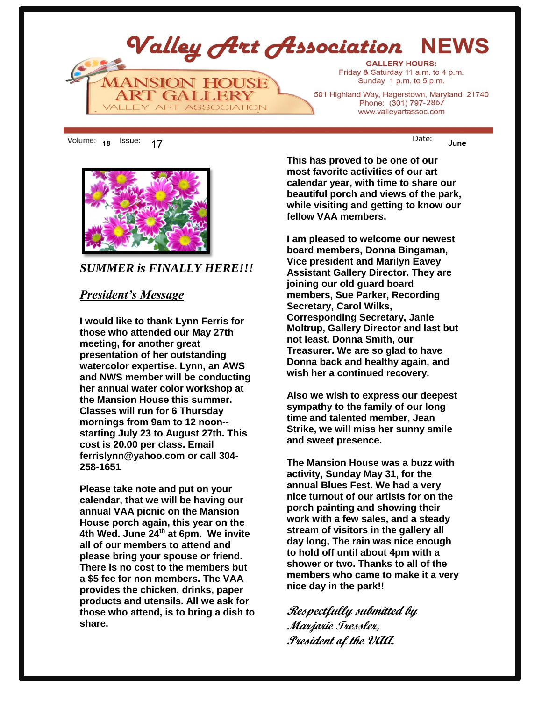

**<sup>18</sup>** 17 **June**



*SUMMER is FINALLY HERE!!!*

#### *President's Message*

**I would like to thank Lynn Ferris for those who attended our May 27th meeting, for another great presentation of her outstanding watercolor expertise. Lynn, an AWS and NWS member will be conducting her annual water color workshop at the Mansion House this summer. Classes will run for 6 Thursday mornings from 9am to 12 noon- starting July 23 to August 27th. This cost is 20.00 per class. Email ferrislynn@yahoo.com or call 304- 258-1651**

**Please take note and put on your calendar, that we will be having our annual VAA picnic on the Mansion House porch again, this year on the 4th Wed. June 24th at 6pm. We invite all of our members to attend and please bring your spouse or friend. There is no cost to the members but a \$5 fee for non members. The VAA provides the chicken, drinks, paper products and utensils. All we ask for those who attend, is to bring a dish to share.** 

**This has proved to be one of our most favorite activities of our art calendar year, with time to share our beautiful porch and views of the park, while visiting and getting to know our fellow VAA members.** 

**I am pleased to welcome our newest board members, Donna Bingaman, Vice president and Marilyn Eavey Assistant Gallery Director. They are joining our old guard board members, Sue Parker, Recording Secretary, Carol Wilks, Corresponding Secretary, Janie Moltrup, Gallery Director and last but not least, Donna Smith, our Treasurer. We are so glad to have Donna back and healthy again, and wish her a continued recovery.** 

**Also we wish to express our deepest sympathy to the family of our long time and talented member, Jean Strike, we will miss her sunny smile and sweet presence.** 

**The Mansion House was a buzz with activity, Sunday May 31, for the annual Blues Fest. We had a very nice turnout of our artists for on the porch painting and showing their work with a few sales, and a steady stream of visitors in the gallery all day long, The rain was nice enough to hold off until about 4pm with a shower or two. Thanks to all of the members who came to make it a very nice day in the park!!** 

**Respectfully submitted by Marjorie Tressler, President of the VAA.**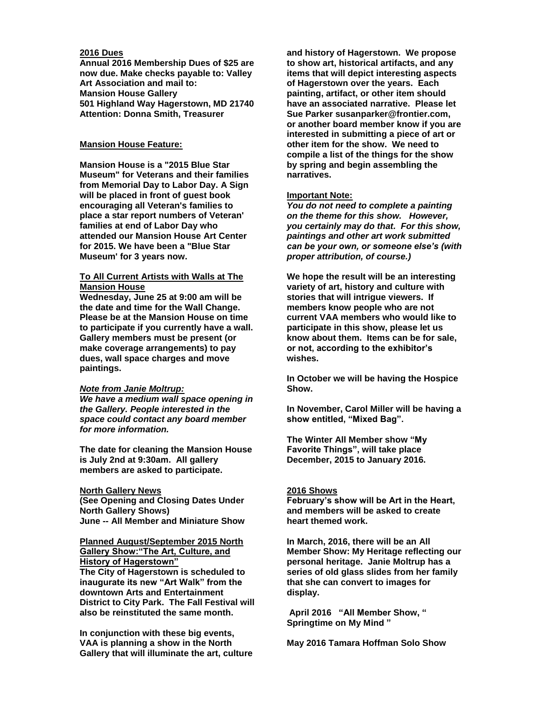#### **2016 Dues**

**Annual 2016 Membership Dues of \$25 are now due. Make checks payable to: Valley Art Association and mail to: Mansion House Gallery 501 Highland Way Hagerstown, MD 21740 Attention: Donna Smith, Treasurer**

#### **Mansion House Feature:**

**Mansion House is a "2015 Blue Star Museum" for Veterans and their families from Memorial Day to Labor Day. A Sign will be placed in front of guest book encouraging all Veteran's families to place a star report numbers of Veteran' families at end of Labor Day who attended our Mansion House Art Center for 2015. We have been a "Blue Star Museum' for 3 years now.**

#### **To All Current Artists with Walls at The Mansion House**

**Wednesday, June 25 at 9:00 am will be the date and time for the Wall Change. Please be at the Mansion House on time to participate if you currently have a wall. Gallery members must be present (or make coverage arrangements) to pay dues, wall space charges and move paintings.**

#### *Note from Janie Moltrup:*

*We have a medium wall space opening in the Gallery. People interested in the space could contact any board member for more information.*

**The date for cleaning the Mansion House is July 2nd at 9:30am. All gallery members are asked to participate.**

#### **North Gallery News**

**(See Opening and Closing Dates Under North Gallery Shows) June -- All Member and Miniature Show**

#### **Planned August/September 2015 North Gallery Show:"The Art, Culture, and History of Hagerstown"**

**The City of Hagerstown is scheduled to inaugurate its new "Art Walk" from the downtown Arts and Entertainment District to City Park. The Fall Festival will also be reinstituted the same month.** 

**In conjunction with these big events, VAA is planning a show in the North Gallery that will illuminate the art, culture**  **and history of Hagerstown. We propose to show art, historical artifacts, and any items that will depict interesting aspects of Hagerstown over the years. Each painting, artifact, or other item should have an associated narrative. Please let Sue Parker susanparker@frontier.com, or another board member know if you are interested in submitting a piece of art or other item for the show. We need to compile a list of the things for the show by spring and begin assembling the narratives.** 

#### **Important Note:**

*You do not need to complete a painting on the theme for this show. However, you certainly may do that. For this show, paintings and other art work submitted can be your own, or someone else's (with proper attribution, of course.)*

**We hope the result will be an interesting variety of art, history and culture with stories that will intrigue viewers. If members know people who are not current VAA members who would like to participate in this show, please let us know about them. Items can be for sale, or not, according to the exhibitor's wishes.** 

**In October we will be having the Hospice Show.**

**In November, Carol Miller will be having a show entitled, "Mixed Bag".**

**The Winter All Member show "My Favorite Things", will take place December, 2015 to January 2016.**

#### **2016 Shows**

**February's show will be Art in the Heart, and members will be asked to create heart themed work.**

**In March, 2016, there will be an All Member Show: My Heritage reflecting our personal heritage. Janie Moltrup has a series of old glass slides from her family that she can convert to images for display.**

**April 2016 "All Member Show, " Springtime on My Mind "**

**May 2016 Tamara Hoffman Solo Show**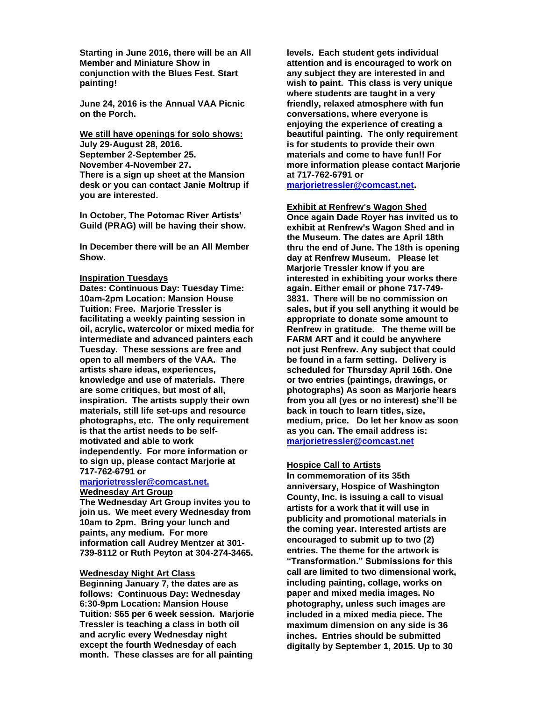**Starting in June 2016, there will be an All Member and Miniature Show in conjunction with the Blues Fest. Start painting!**

**June 24, 2016 is the Annual VAA Picnic on the Porch.** 

**We still have openings for solo shows: July 29-August 28, 2016. September 2-September 25. November 4-November 27. There is a sign up sheet at the Mansion desk or you can contact Janie Moltrup if you are interested.**

**In October, The Potomac River Artists' Guild (PRAG) will be having their show.**

**In December there will be an All Member Show.**

#### **Inspiration Tuesdays**

**Dates: Continuous Day: Tuesday Time: 10am-2pm Location: Mansion House Tuition: Free. Marjorie Tressler is facilitating a weekly painting session in oil, acrylic, watercolor or mixed media for intermediate and advanced painters each Tuesday. These sessions are free and open to all members of the VAA. The artists share ideas, experiences, knowledge and use of materials. There are some critiques, but most of all, inspiration. The artists supply their own materials, still life set-ups and resource photographs, etc. The only requirement is that the artist needs to be selfmotivated and able to work independently. For more information or to sign up, please contact Marjorie at 717-762-6791 or** 

#### **marjorietressler@comcast.net. Wednesday Art Group**

**The Wednesday Art Group invites you to join us. We meet every Wednesday from 10am to 2pm. Bring your lunch and paints, any medium. For more information call Audrey Mentzer at 301- 739-8112 or Ruth Peyton at 304-274-3465.**

#### **Wednesday Night Art Class**

**Beginning January 7, the dates are as follows: Continuous Day: Wednesday 6:30-9pm Location: Mansion House Tuition: \$65 per 6 week session. Marjorie Tressler is teaching a class in both oil and acrylic every Wednesday night except the fourth Wednesday of each month. These classes are for all painting** 

**levels. Each student gets individual attention and is encouraged to work on any subject they are interested in and wish to paint. This class is very unique where students are taught in a very friendly, relaxed atmosphere with fun conversations, where everyone is enjoying the experience of creating a beautiful painting. The only requirement is for students to provide their own materials and come to have fun!! For more information please contact Marjorie at 717-762-6791 or** 

**[marjorietressler@comcast.net.](mailto:marjorietressler@comcast.net)**

**Exhibit at Renfrew's Wagon Shed Once again Dade Royer has invited us to exhibit at Renfrew's Wagon Shed and in the Museum. The dates are April 18th thru the end of June. The 18th is opening day at Renfrew Museum. Please let Marjorie Tressler know if you are interested in exhibiting your works there again. Either email or phone 717-749- 3831. There will be no commission on sales, but if you sell anything it would be appropriate to donate some amount to Renfrew in gratitude. The theme will be FARM ART and it could be anywhere not just Renfrew. Any subject that could be found in a farm setting. Delivery is scheduled for Thursday April 16th. One or two entries (paintings, drawings, or photographs) As soon as Marjorie hears from you all (yes or no interest) she'll be back in touch to learn titles, size, medium, price. Do let her know as soon as you can. The email address is: [marjorietressler@comcast.net](mailto:dbec100@egmbarqmail.com)**

#### **Hospice Call to Artists**

**In commemoration of its 35th anniversary, Hospice of Washington County, Inc. is issuing a call to visual artists for a work that it will use in publicity and promotional materials in the coming year. Interested artists are encouraged to submit up to two (2) entries. The theme for the artwork is "Transformation." Submissions for this call are limited to two dimensional work, including painting, collage, works on paper and mixed media images. No photography, unless such images are included in a mixed media piece. The maximum dimension on any side is 36 inches. Entries should be submitted digitally by September 1, 2015. Up to 30**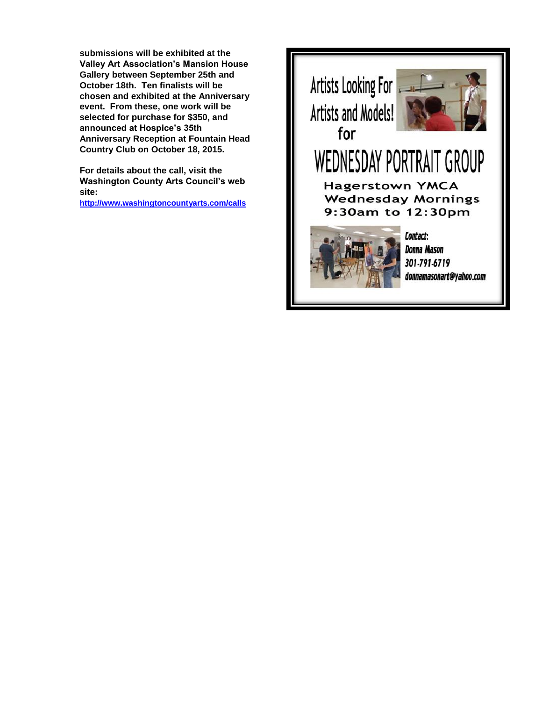**submissions will be exhibited at the Valley Art Association's Mansion House Gallery between September 25th and October 18th. Ten finalists will be chosen and exhibited at the Anniversary event. From these, one work will be selected for purchase for \$350, and announced at Hospice's 35th Anniversary Reception at Fountain Head Country Club on October 18, 2015.** 

**For details about the call, visit the Washington County Arts Council's web site:** 

**<http://www.washingtoncountyarts.com/calls>**

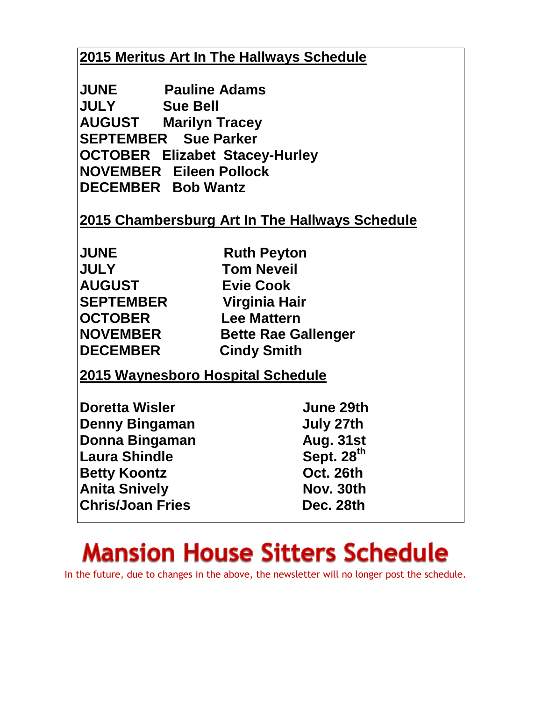## **2015 Meritus Art In The Hallways Schedule**

**JUNE Pauline Adams JULY Sue Bell AUGUST Marilyn Tracey SEPTEMBER Sue Parker OCTOBER Elizabet Stacey-Hurley NOVEMBER Eileen Pollock DECEMBER Bob Wantz** 

### **2015 Chambersburg Art In The Hallways Schedule**

| <b>JUNE</b>      | <b>Ruth Peyton</b>         |
|------------------|----------------------------|
| <b>JULY</b>      | <b>Tom Neveil</b>          |
| <b>AUGUST</b>    | <b>Evie Cook</b>           |
| <b>SEPTEMBER</b> | Virginia Hair              |
| <b>OCTOBER</b>   | <b>Lee Mattern</b>         |
| <b>NOVEMBER</b>  | <b>Bette Rae Gallenger</b> |
| <b>DECEMBER</b>  | <b>Cindy Smith</b>         |

**2015 Waynesboro Hospital Schedule** 

| <b>Doretta Wisler</b>   | <b>June 29th</b>       |
|-------------------------|------------------------|
| Denny Bingaman          | July 27th              |
| Donna Bingaman          | <b>Aug. 31st</b>       |
| <b>Laura Shindle</b>    | Sept. 28 <sup>th</sup> |
| <b>Betty Koontz</b>     | Oct. 26th              |
| <b>Anita Snively</b>    | Nov. 30th              |
| <b>Chris/Joan Fries</b> | Dec. 28th              |

# **Mansion House Sitters Schedule**

In the future, due to changes in the above, the newsletter will no longer post the schedule.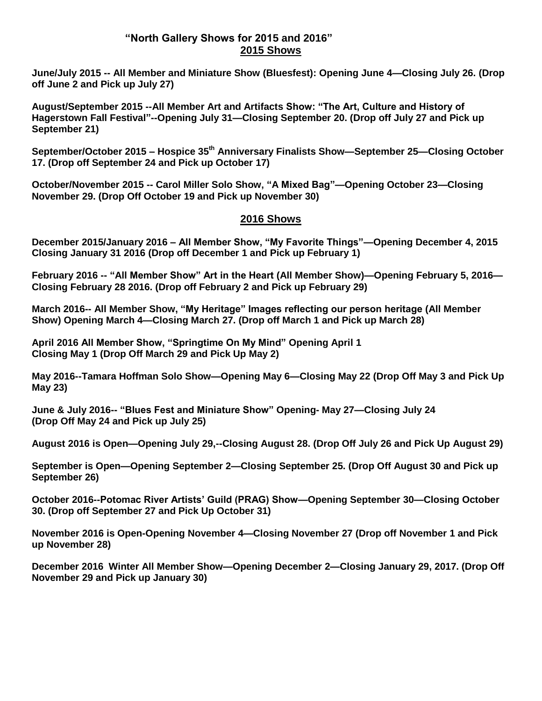#### **"North Gallery Shows for 2015 and 2016" 2015 Shows**

**June/July 2015 -- All Member and Miniature Show (Bluesfest): Opening June 4—Closing July 26. (Drop off June 2 and Pick up July 27)**

**August/September 2015 --All Member Art and Artifacts Show: "The Art, Culture and History of Hagerstown Fall Festival"--Opening July 31—Closing September 20. (Drop off July 27 and Pick up September 21)**

**September/October 2015 – Hospice 35th Anniversary Finalists Show—September 25—Closing October 17. (Drop off September 24 and Pick up October 17)**

**October/November 2015 -- Carol Miller Solo Show, "A Mixed Bag"—Opening October 23—Closing November 29. (Drop Off October 19 and Pick up November 30)**

#### **2016 Shows**

**December 2015/January 2016 – All Member Show, "My Favorite Things"—Opening December 4, 2015 Closing January 31 2016 (Drop off December 1 and Pick up February 1)**

**February 2016 -- "All Member Show" Art in the Heart (All Member Show)—Opening February 5, 2016— Closing February 28 2016. (Drop off February 2 and Pick up February 29)**

**March 2016-- All Member Show, "My Heritage" Images reflecting our person heritage (All Member Show) Opening March 4—Closing March 27. (Drop off March 1 and Pick up March 28)**

**April 2016 All Member Show, "Springtime On My Mind" Opening April 1 Closing May 1 (Drop Off March 29 and Pick Up May 2)**

**May 2016--Tamara Hoffman Solo Show—Opening May 6—Closing May 22 (Drop Off May 3 and Pick Up May 23)**

**June & July 2016-- "Blues Fest and Miniature Show" Opening- May 27—Closing July 24 (Drop Off May 24 and Pick up July 25)**

**August 2016 is Open—Opening July 29,--Closing August 28. (Drop Off July 26 and Pick Up August 29)**

**September is Open—Opening September 2—Closing September 25. (Drop Off August 30 and Pick up September 26)**

**October 2016--Potomac River Artists' Guild (PRAG) Show—Opening September 30—Closing October 30. (Drop off September 27 and Pick Up October 31)**

**November 2016 is Open-Opening November 4—Closing November 27 (Drop off November 1 and Pick up November 28)**

**December 2016 Winter All Member Show—Opening December 2—Closing January 29, 2017. (Drop Off November 29 and Pick up January 30)**